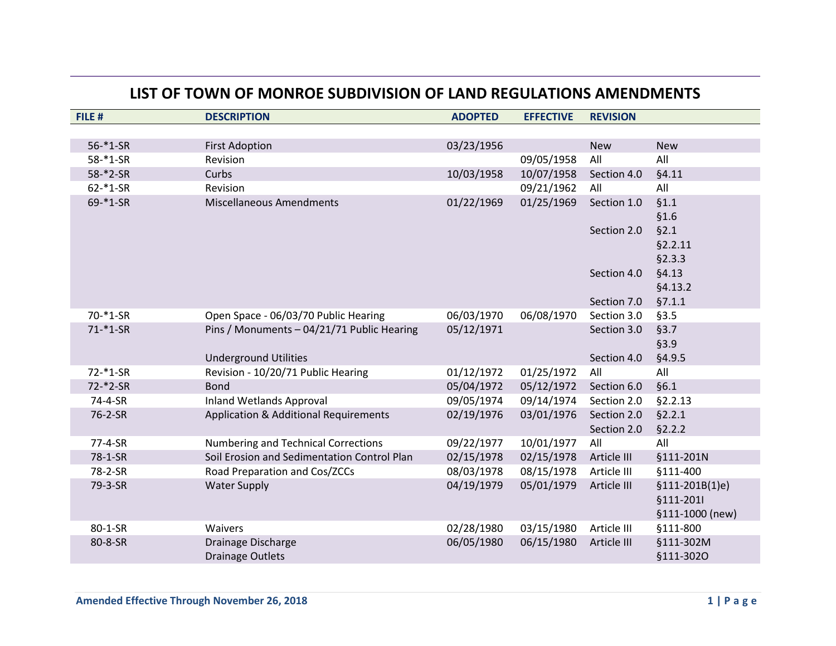## **LIST OF TOWN OF MONROE SUBDIVISION OF LAND REGULATIONS AMENDMENTS**

| FILE #        | <b>DESCRIPTION</b>                          | <b>ADOPTED</b> | <b>EFFECTIVE</b> | <b>REVISION</b> |                  |
|---------------|---------------------------------------------|----------------|------------------|-----------------|------------------|
|               |                                             |                |                  |                 |                  |
| $56 - 1 - SR$ | <b>First Adoption</b>                       | 03/23/1956     |                  | <b>New</b>      | <b>New</b>       |
| 58-*1-SR      | Revision                                    |                | 09/05/1958       | All             | All              |
| 58-*2-SR      | Curbs                                       | 10/03/1958     | 10/07/1958       | Section 4.0     | §4.11            |
| $62 - 1-SR$   | Revision                                    |                | 09/21/1962       | All             | All              |
| 69-*1-SR      | <b>Miscellaneous Amendments</b>             | 01/22/1969     | 01/25/1969       | Section 1.0     | §1.1             |
|               |                                             |                |                  |                 | \$1.6            |
|               |                                             |                |                  | Section 2.0     | §2.1             |
|               |                                             |                |                  |                 | §2.2.11          |
|               |                                             |                |                  |                 | §2.3.3           |
|               |                                             |                |                  | Section 4.0     | §4.13            |
|               |                                             |                |                  |                 | §4.13.2          |
|               |                                             |                |                  | Section 7.0     | §7.1.1           |
| $70 - 1 - SR$ | Open Space - 06/03/70 Public Hearing        | 06/03/1970     | 06/08/1970       | Section 3.0     | §3.5             |
| $71 - * 1-SR$ | Pins / Monuments - 04/21/71 Public Hearing  | 05/12/1971     |                  | Section 3.0     | §3.7             |
|               |                                             |                |                  |                 | §3.9             |
|               | <b>Underground Utilities</b>                |                |                  | Section 4.0     | §4.9.5           |
| 72-*1-SR      | Revision - 10/20/71 Public Hearing          | 01/12/1972     | 01/25/1972       | All             | All              |
| 72-*2-SR      | <b>Bond</b>                                 | 05/04/1972     | 05/12/1972       | Section 6.0     | §6.1             |
| 74-4-SR       | <b>Inland Wetlands Approval</b>             | 09/05/1974     | 09/14/1974       | Section 2.0     | §2.2.13          |
| 76-2-SR       | Application & Additional Requirements       | 02/19/1976     | 03/01/1976       | Section 2.0     | §2.2.1           |
|               |                                             |                |                  | Section 2.0     | §2.2.2           |
| 77-4-SR       | <b>Numbering and Technical Corrections</b>  | 09/22/1977     | 10/01/1977       | All             | All              |
| 78-1-SR       | Soil Erosion and Sedimentation Control Plan | 02/15/1978     | 02/15/1978       | Article III     | §111-201N        |
| 78-2-SR       | Road Preparation and Cos/ZCCs               | 08/03/1978     | 08/15/1978       | Article III     | §111-400         |
| 79-3-SR       | <b>Water Supply</b>                         | 04/19/1979     | 05/01/1979       | Article III     | $$111-201B(1)e$$ |
|               |                                             |                |                  |                 | §111-2011        |
|               |                                             |                |                  |                 | §111-1000 (new)  |
| 80-1-SR       | Waivers                                     | 02/28/1980     | 03/15/1980       | Article III     | §111-800         |
| 80-8-SR       | Drainage Discharge                          | 06/05/1980     | 06/15/1980       | Article III     | §111-302M        |
|               | <b>Drainage Outlets</b>                     |                |                  |                 | §111-3020        |